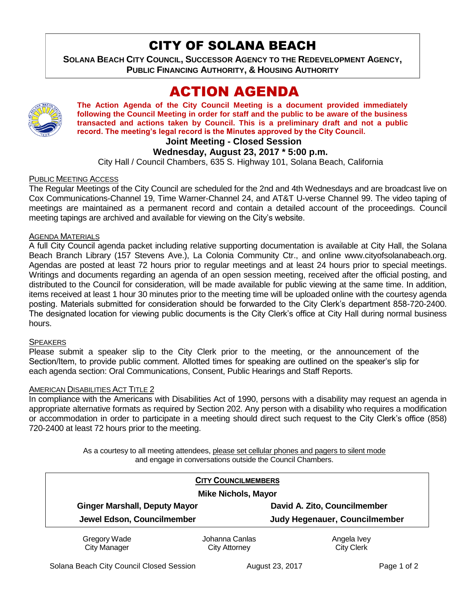# CITY OF SOLANA BEACH

**SOLANA BEACH CITY COUNCIL, SUCCESSOR AGENCY TO THE REDEVELOPMENT AGENCY, PUBLIC FINANCING AUTHORITY, & HOUSING AUTHORITY** 

# ACTION AGENDA



**The Action Agenda of the City Council Meeting is a document provided immediately following the Council Meeting in order for staff and the public to be aware of the business transacted and actions taken by Council. This is a preliminary draft and not a public record. The meeting's legal record is the Minutes approved by the City Council.**

## **Joint Meeting - Closed Session**

## **Wednesday, August 23, 2017 \* 5:00 p.m.**

City Hall / Council Chambers, 635 S. Highway 101, Solana Beach, California

### PUBLIC MEETING ACCESS

The Regular Meetings of the City Council are scheduled for the 2nd and 4th Wednesdays and are broadcast live on Cox Communications-Channel 19, Time Warner-Channel 24, and AT&T U-verse Channel 99. The video taping of meetings are maintained as a permanent record and contain a detailed account of the proceedings. Council meeting tapings are archived and available for viewing on the City's website.

#### AGENDA MATERIALS

A full City Council agenda packet including relative supporting documentation is available at City Hall, the Solana Beach Branch Library (157 Stevens Ave.), La Colonia Community Ctr., and online www.cityofsolanabeach.org. Agendas are posted at least 72 hours prior to regular meetings and at least 24 hours prior to special meetings. Writings and documents regarding an agenda of an open session meeting, received after the official posting, and distributed to the Council for consideration, will be made available for public viewing at the same time. In addition, items received at least 1 hour 30 minutes prior to the meeting time will be uploaded online with the courtesy agenda posting. Materials submitted for consideration should be forwarded to the City Clerk's department 858-720-2400. The designated location for viewing public documents is the City Clerk's office at City Hall during normal business hours.

#### **SPEAKERS**

Please submit a speaker slip to the City Clerk prior to the meeting, or the announcement of the Section/Item, to provide public comment. Allotted times for speaking are outlined on the speaker's slip for each agenda section: Oral Communications, Consent, Public Hearings and Staff Reports.

#### AMERICAN DISABILITIES ACT TITLE 2

In compliance with the Americans with Disabilities Act of 1990, persons with a disability may request an agenda in appropriate alternative formats as required by Section 202. Any person with a disability who requires a modification or accommodation in order to participate in a meeting should direct such request to the City Clerk's office (858) 720-2400 at least 72 hours prior to the meeting.

> As a courtesy to all meeting attendees, please set cellular phones and pagers to silent mode and engage in conversations outside the Council Chambers.

| <b>CITY COUNCILMEMBERS</b><br><b>Mike Nichols, Mayor</b> |                |                               |
|----------------------------------------------------------|----------------|-------------------------------|
|                                                          |                |                               |
| Jewel Edson, Councilmember                               |                | Judy Hegenauer, Councilmember |
| Gregory Wade                                             | Johanna Canlas | Angela Ivey                   |
| <b>City Manager</b>                                      | City Attorney  | <b>City Clerk</b>             |